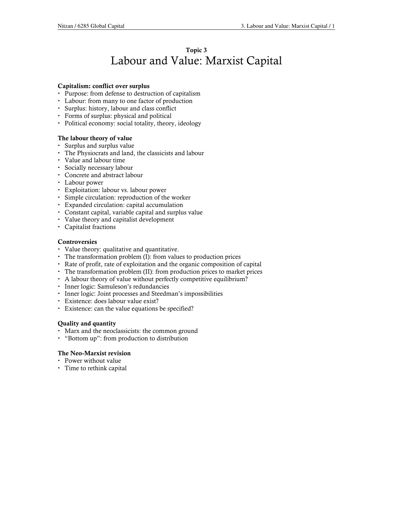# Topic 3 Labour and Value: Marxist Capital

#### Capitalism: conflict over surplus

- Purpose: from defense to destruction of capitalism
- Labour: from many to one factor of production
- Surplus: history, labour and class conflict
- Forms of surplus: physical and political
- Political economy: social totality, theory, ideology

#### The labour theory of value

- Surplus and surplus value
- The Physiocrats and land, the classicists and labour
- Value and labour time
- Socially necessary labour
- Concrete and abstract labour
- Labour power
- Exploitation: labour vs. labour power
- Simple circulation: reproduction of the worker
- Expanded circulation: capital accumulation
- Constant capital, variable capital and surplus value
- Value theory and capitalist development
- Capitalist fractions

#### Controversies

- Value theory: qualitative and quantitative.
- The transformation problem (I): from values to production prices
- Rate of profit, rate of exploitation and the organic composition of capital
- The transformation problem (II): from production prices to market prices
- A labour theory of value without perfectly competitive equilibrium?
- Inner logic: Samuleson's redundancies
- Inner logic: Joint processes and Steedman's impossibilities
- Existence: does labour value exist?
- Existence: can the value equations be specified?

#### Quality and quantity

- Marx and the neoclassicists: the common ground
- "Bottom up": from production to distribution

#### The Neo-Marxist revision

- Power without value
- Time to rethink capital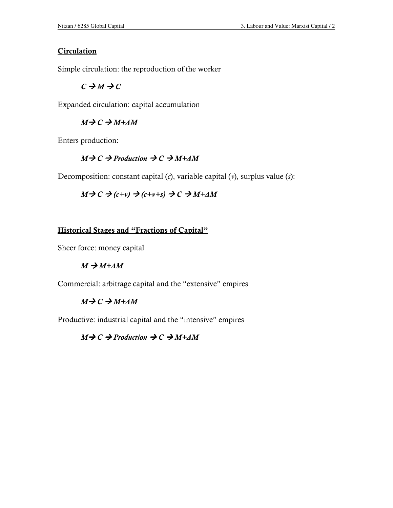### **Circulation**

Simple circulation: the reproduction of the worker

 $C \rightarrow M \rightarrow C$ 

Expanded circulation: capital accumulation

### $M \rightarrow C \rightarrow M + \Delta M$

Enters production:

## $M \rightarrow C \rightarrow$  Production  $\rightarrow C \rightarrow M + \Delta M$

Decomposition: constant capital  $(c)$ , variable capital  $(v)$ , surplus value  $(s)$ :

 $M \rightarrow C \rightarrow (c+v) \rightarrow (c+v+s) \rightarrow C \rightarrow M+\Delta M$ 

### Historical Stages and "Fractions of Capital"

Sheer force: money capital

### $M \rightarrow M + \Delta M$

Commercial: arbitrage capital and the "extensive" empires

### $M \rightarrow C \rightarrow M + \Delta M$

Productive: industrial capital and the "intensive" empires

 $M \rightarrow C \rightarrow$  Production  $\rightarrow C \rightarrow M + \Delta M$